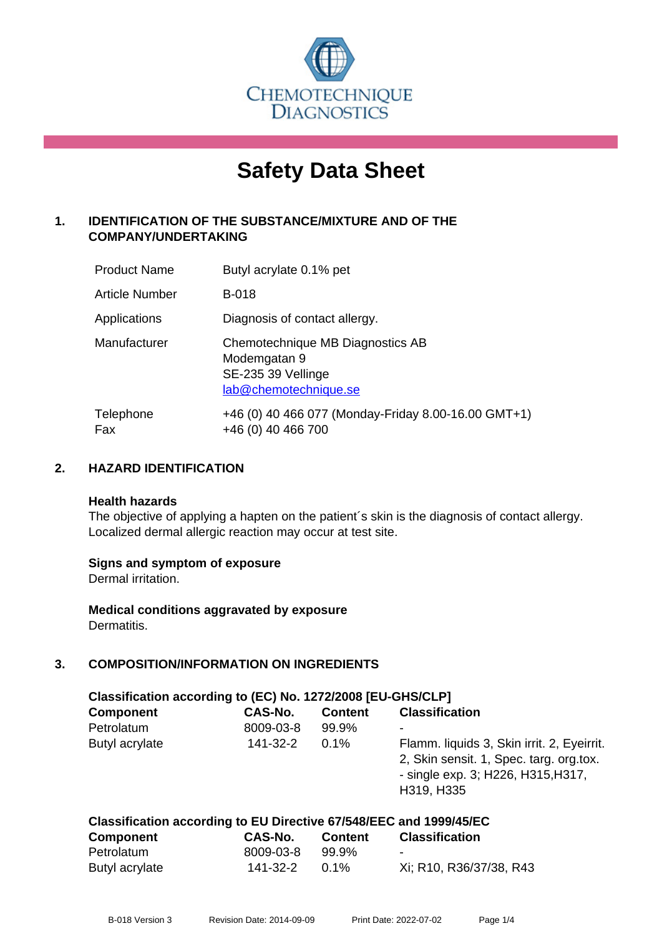

# **Safety Data Sheet**

# **1. IDENTIFICATION OF THE SUBSTANCE/MIXTURE AND OF THE COMPANY/UNDERTAKING**

| <b>Product Name</b>   | Butyl acrylate 0.1% pet                                                                         |
|-----------------------|-------------------------------------------------------------------------------------------------|
| <b>Article Number</b> | <b>B-018</b>                                                                                    |
| Applications          | Diagnosis of contact allergy.                                                                   |
| Manufacturer          | Chemotechnique MB Diagnostics AB<br>Modemgatan 9<br>SE-235 39 Vellinge<br>lab@chemotechnique.se |
| Telephone<br>Fax      | +46 (0) 40 466 077 (Monday-Friday 8.00-16.00 GMT+1)<br>+46 (0) 40 466 700                       |

#### **2. HAZARD IDENTIFICATION**

#### **Health hazards**

The objective of applying a hapten on the patient's skin is the diagnosis of contact allergy. Localized dermal allergic reaction may occur at test site.

#### **Signs and symptom of exposure**

Dermal irritation.

**Medical conditions aggravated by exposure** Dermatitis.

# **3. COMPOSITION/INFORMATION ON INGREDIENTS**

| Classification according to (EC) No. 1272/2008 [EU-GHS/CLP]        |           |                |                                                                                                                                           |  |
|--------------------------------------------------------------------|-----------|----------------|-------------------------------------------------------------------------------------------------------------------------------------------|--|
| <b>Component</b>                                                   | CAS-No.   | <b>Content</b> | <b>Classification</b>                                                                                                                     |  |
| Petrolatum                                                         | 8009-03-8 | 99.9%          |                                                                                                                                           |  |
| Butyl acrylate                                                     | 141-32-2  | $0.1\%$        | Flamm. liquids 3, Skin irrit. 2, Eyeirrit.<br>2, Skin sensit. 1, Spec. targ. org.tox.<br>- single exp. 3; H226, H315, H317,<br>H319, H335 |  |
| Closeification according to EU Directive C7/E40/EEC and 1000/4E/EC |           |                |                                                                                                                                           |  |

| Classification according to EU Directive 07/340/EEC and 1999/43/EC |           |         |                          |  |
|--------------------------------------------------------------------|-----------|---------|--------------------------|--|
| <b>Component</b>                                                   | CAS-No.   | Content | <b>Classification</b>    |  |
| Petrolatum                                                         | 8009-03-8 | 99.9%   | $\overline{\phantom{a}}$ |  |
| Butyl acrylate                                                     | 141-32-2  | $0.1\%$ | Xi; R10, R36/37/38, R43  |  |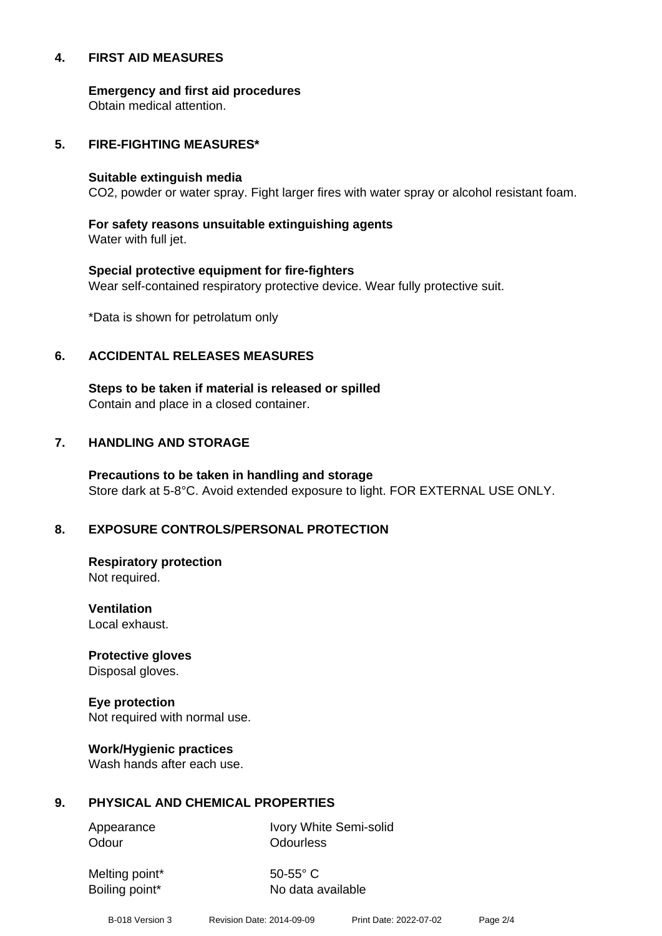#### **4. FIRST AID MEASURES**

**Emergency and first aid procedures**

Obtain medical attention.

#### **5. FIRE-FIGHTING MEASURES\***

#### **Suitable extinguish media**

CO2, powder or water spray. Fight larger fires with water spray or alcohol resistant foam.

# **For safety reasons unsuitable extinguishing agents**

Water with full jet.

# **Special protective equipment for fire-fighters** Wear self-contained respiratory protective device. Wear fully protective suit.

\*Data is shown for petrolatum only

#### **6. ACCIDENTAL RELEASES MEASURES**

**Steps to be taken if material is released or spilled** Contain and place in a closed container.

# **7. HANDLING AND STORAGE**

**Precautions to be taken in handling and storage** Store dark at 5-8°C. Avoid extended exposure to light. FOR EXTERNAL USE ONLY.

# **8. EXPOSURE CONTROLS/PERSONAL PROTECTION**

**Respiratory protection** Not required.

**Ventilation** Local exhaust.

**Protective gloves** Disposal gloves.

# **Eye protection**

Not required with normal use.

#### **Work/Hygienic practices**

Wash hands after each use.

#### **9. PHYSICAL AND CHEMICAL PROPERTIES**

Odour **Odourless** 

Appearance Ivory White Semi-solid

Melting point\* 50-55° C

Boiling point\* No data available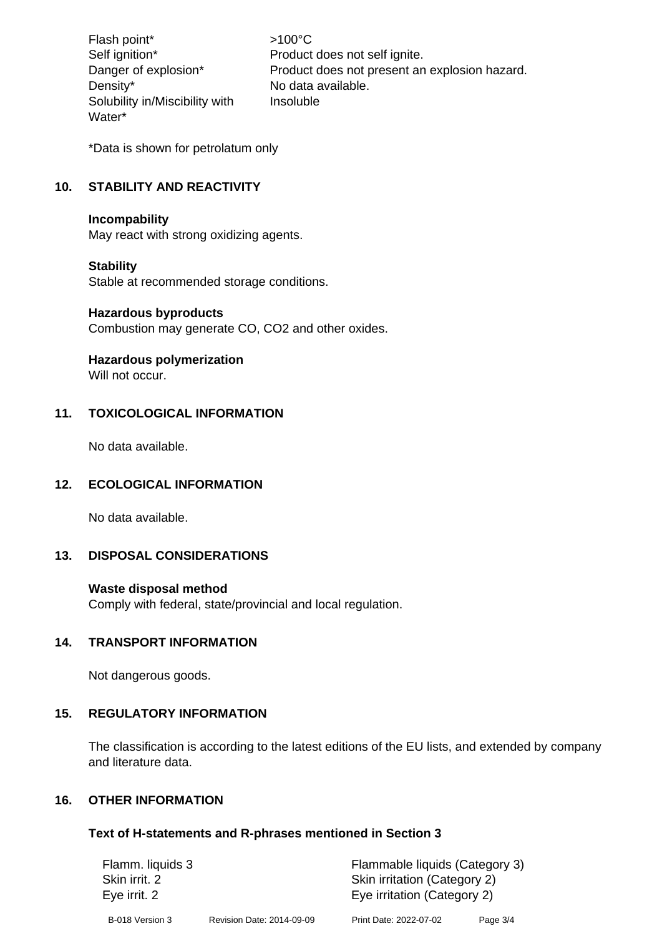Flash point\*  $>100^{\circ}$ C Density\* No data available. Solubility in/Miscibility with Water\*

Self ignition\* Product does not self ignite. Danger of explosion\* Product does not present an explosion hazard. Insoluble

\*Data is shown for petrolatum only

# **10. STABILITY AND REACTIVITY**

#### **Incompability**

May react with strong oxidizing agents.

#### **Stability**

Stable at recommended storage conditions.

#### **Hazardous byproducts**

Combustion may generate CO, CO2 and other oxides.

#### **Hazardous polymerization**

Will not occur.

# **11. TOXICOLOGICAL INFORMATION**

No data available.

#### **12. ECOLOGICAL INFORMATION**

No data available.

#### **13. DISPOSAL CONSIDERATIONS**

#### **Waste disposal method**

Comply with federal, state/provincial and local regulation.

#### **14. TRANSPORT INFORMATION**

Not dangerous goods.

#### **15. REGULATORY INFORMATION**

The classification is according to the latest editions of the EU lists, and extended by company and literature data.

#### **16. OTHER INFORMATION**

#### **Text of H-statements and R-phrases mentioned in Section 3**

| Flamm. liquids 3 |                           | Flammable liquids (Category 3) |          |
|------------------|---------------------------|--------------------------------|----------|
| Skin irrit. 2    |                           | Skin irritation (Category 2)   |          |
| Eye irrit. 2     |                           | Eye irritation (Category 2)    |          |
| B-018 Version 3  | Revision Date: 2014-09-09 | Print Date: 2022-07-02         | Page 3/4 |